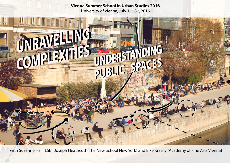## **Vienna Summer School in Urban Studies 2016** University of Vienna, July 1st - 8th, 2016



with Suzanne Hall (LSE), Joseph Heathcott (The New School New York) and Elke Krasny (Academy of Fine Arts Vienna)